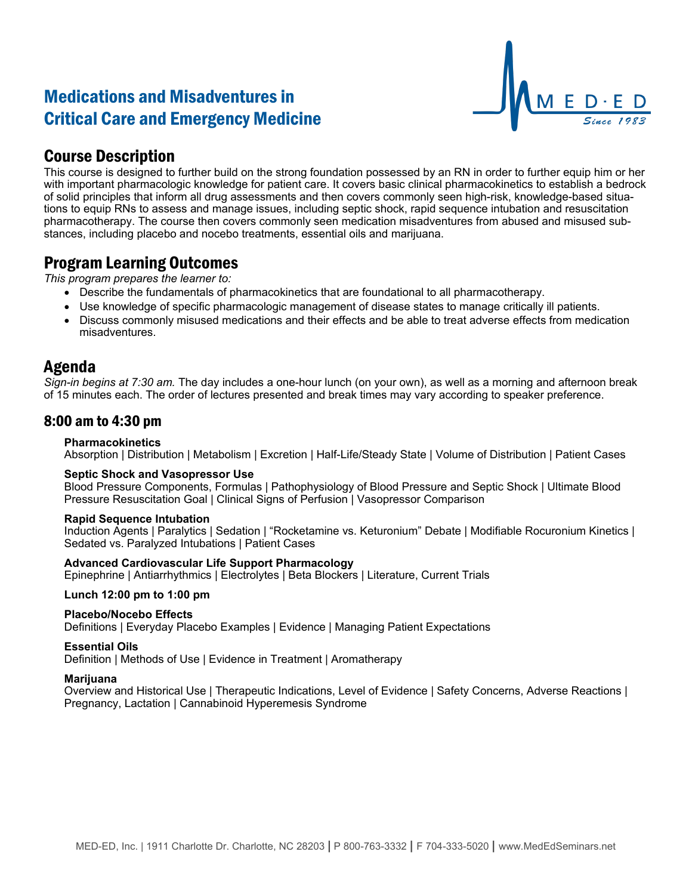# Medications and Misadventures in Critical Care and Emergency Medicine



## Course Description

This course is designed to further build on the strong foundation possessed by an RN in order to further equip him or her with important pharmacologic knowledge for patient care. It covers basic clinical pharmacokinetics to establish a bedrock of solid principles that inform all drug assessments and then covers commonly seen high-risk, knowledge-based situations to equip RNs to assess and manage issues, including septic shock, rapid sequence intubation and resuscitation pharmacotherapy. The course then covers commonly seen medication misadventures from abused and misused substances, including placebo and nocebo treatments, essential oils and marijuana.

### Program Learning Outcomes

*This program prepares the learner to:*

- Describe the fundamentals of pharmacokinetics that are foundational to all pharmacotherapy.
- Use knowledge of specific pharmacologic management of disease states to manage critically ill patients.
- Discuss commonly misused medications and their effects and be able to treat adverse effects from medication misadventures.

## Agenda

*Sign-in begins at 7:30 am.* The day includes a one-hour lunch (on your own), as well as a morning and afternoon break of 15 minutes each. The order of lectures presented and break times may vary according to speaker preference.

### 8:00 am to 4:30 pm

#### **Pharmacokinetics**

Absorption | Distribution | Metabolism | Excretion | Half-Life/Steady State | Volume of Distribution | Patient Cases

#### **Septic Shock and Vasopressor Use**

Blood Pressure Components, Formulas | Pathophysiology of Blood Pressure and Septic Shock | Ultimate Blood Pressure Resuscitation Goal | Clinical Signs of Perfusion | Vasopressor Comparison

#### **Rapid Sequence Intubation**

Induction Agents | Paralytics | Sedation | "Rocketamine vs. Keturonium" Debate | Modifiable Rocuronium Kinetics | Sedated vs. Paralyzed Intubations | Patient Cases

#### **Advanced Cardiovascular Life Support Pharmacology**

Epinephrine | Antiarrhythmics | Electrolytes | Beta Blockers | Literature, Current Trials

#### **Lunch 12:00 pm to 1:00 pm**

#### **Placebo/Nocebo Effects**

Definitions | Everyday Placebo Examples | Evidence | Managing Patient Expectations

#### **Essential Oils**

Definition | Methods of Use | Evidence in Treatment | Aromatherapy

#### **Marijuana**

Overview and Historical Use | Therapeutic Indications, Level of Evidence | Safety Concerns, Adverse Reactions | Pregnancy, Lactation | Cannabinoid Hyperemesis Syndrome